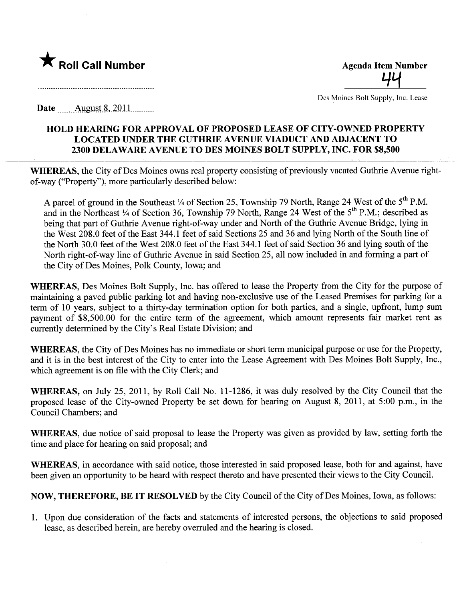

<u>4</u>

Des Moines Bolt Supply, Inc. Lease

Date  $\qquad$  August 8, 2011

## HOLD HEARING FOR APPROVAL OF PROPOSED LEASE OF CITY-OWNED PROPERTY LOCATED UNDER THE GUTHRIE AVENUE VIADUCT AND ADJACENT TO 2300 DELAWARE AVENUE TO DES MOINES BOLT SUPPLY, INC. FOR \$8,500

WHEREAS, the City of Des Moines owns real property consisting of previously vacated Guthrie Avenue rightof-way ("Property"), more particularly described below:

A parcel of ground in the Southeast  $\frac{1}{4}$  of Section 25, Township 79 North, Range 24 West of the 5<sup>th</sup> P.M. and in the Northeast 1/4 of Section 36, Township 79 North, Range 24 West of the 5<sup>th</sup> P.M.; described as being that part of Guthrie Avenue right-of-way under and North of the Guthrie Avenue Bridge, lying in the West 208.0 feet of the East 344.1 feet of said Sections 25 and 36 and lying North of the South line of the North 30.0 feet of the West 208.0 feet of the East 344.1 feet of said Section 36 and lying south of the North right-of-way line of Guthrie Avenue in said Section 25, all now included in and forming a part of the City of Des Moines, Polk County, Iowa; and

WHEREAS, Des Moines Bolt Supply, Inc. has offered to lease the Property from the City for the purose of maintaining a paved public parking lot and having non-exclusive use of the Leased Premises for parking for a term of 10 years, subject to a thirty-day termination option for both parties, and a single, upfront, lump sum payment of \$8,500.00 for the entire term of the agreement, which amount represents fair market rent as curently determined by the City's Real Estate Division; and

WHEREAS, the City of Des Moines has no immediate or short term municipal purpose or use for the Property, and it is in the best interest of the City to enter into the Lease Agreement with Des Moines Bolt Supply, Inc., which agreement is on file with the City Clerk; and

WHEREAS, on July 25, 2011, by Roll Call No. 11-1286, it was duly resolved by the City Council that the proposed lease of the City-owned Property be set down for hearing on August 8, 2011, at 5:00 p.m., in the Council Chambers; and

WHEREAS, due notice of said proposal to lease the Property was given as provided by law, setting forth the time and place for hearing on said proposal; and

WHEREAS, in accordance with said notice, those interested in said proposed lease, both for and against, have been given an opportunity to be heard with respect thereto and have presented their views to the City Council.

NOW, THEREFORE, BE IT RESOLVED by the City Council of the City of Des Moines, Iowa, as follows:

1. Upon due consideration of the facts and statements of interested persons, the objections to said proposed lease, as described herein, are hereby overruled and the hearing is closed.